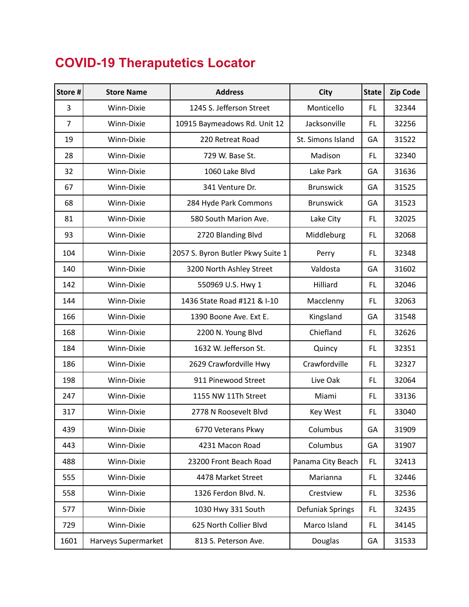## **COVID-19 Theraputetics Locator**

| Store #        | <b>Store Name</b>   | <b>Address</b>                    | <b>City</b>       | <b>State</b> | <b>Zip Code</b> |
|----------------|---------------------|-----------------------------------|-------------------|--------------|-----------------|
| 3              | Winn-Dixie          | 1245 S. Jefferson Street          | Monticello        | <b>FL</b>    | 32344           |
| $\overline{7}$ | Winn-Dixie          | 10915 Baymeadows Rd. Unit 12      | Jacksonville      | <b>FL</b>    | 32256           |
| 19             | Winn-Dixie          | 220 Retreat Road                  | St. Simons Island | GA           | 31522           |
| 28             | Winn-Dixie          | 729 W. Base St.                   | Madison           | <b>FL</b>    | 32340           |
| 32             | Winn-Dixie          | 1060 Lake Blvd                    | Lake Park         | GA           | 31636           |
| 67             | Winn-Dixie          | 341 Venture Dr.                   | <b>Brunswick</b>  | GA           | 31525           |
| 68             | Winn-Dixie          | 284 Hyde Park Commons             | <b>Brunswick</b>  | GA           | 31523           |
| 81             | Winn-Dixie          | 580 South Marion Ave.             | Lake City         | <b>FL</b>    | 32025           |
| 93             | Winn-Dixie          | 2720 Blanding Blvd                | Middleburg        | <b>FL</b>    | 32068           |
| 104            | Winn-Dixie          | 2057 S. Byron Butler Pkwy Suite 1 | Perry             | <b>FL</b>    | 32348           |
| 140            | Winn-Dixie          | 3200 North Ashley Street          | Valdosta          | GA           | 31602           |
| 142            | Winn-Dixie          | 550969 U.S. Hwy 1                 | Hilliard          | <b>FL</b>    | 32046           |
| 144            | Winn-Dixie          | 1436 State Road #121 & I-10       | Macclenny         | <b>FL</b>    | 32063           |
| 166            | Winn-Dixie          | 1390 Boone Ave. Ext E.            | Kingsland         | GA           | 31548           |
| 168            | Winn-Dixie          | 2200 N. Young Blvd                | Chiefland         | <b>FL</b>    | 32626           |
| 184            | Winn-Dixie          | 1632 W. Jefferson St.             | Quincy            | <b>FL</b>    | 32351           |
| 186            | Winn-Dixie          | 2629 Crawfordville Hwy            | Crawfordville     | <b>FL</b>    | 32327           |
| 198            | Winn-Dixie          | 911 Pinewood Street               | Live Oak          | <b>FL</b>    | 32064           |
| 247            | Winn-Dixie          | 1155 NW 11Th Street               | Miami             | <b>FL</b>    | 33136           |
| 317            | Winn-Dixie          | 2778 N Roosevelt Blvd             | <b>Key West</b>   | FL.          | 33040           |
| 439            | Winn-Dixie          | 6770 Veterans Pkwy                | Columbus          | GА           | 31909           |
| 443            | Winn-Dixie          | 4231 Macon Road                   | Columbus          | GA           | 31907           |
| 488            | Winn-Dixie          | 23200 Front Beach Road            | Panama City Beach | FL.          | 32413           |
| 555            | Winn-Dixie          | 4478 Market Street                | Marianna          | FL.          | 32446           |
| 558            | Winn-Dixie          | 1326 Ferdon Blvd. N.              | Crestview         | <b>FL</b>    | 32536           |
| 577            | Winn-Dixie          | 1030 Hwy 331 South                | Defuniak Springs  | FL.          | 32435           |
| 729            | Winn-Dixie          | 625 North Collier Blvd            | Marco Island      | FL.          | 34145           |
| 1601           | Harveys Supermarket | 813 S. Peterson Ave.              | Douglas           | GA           | 31533           |